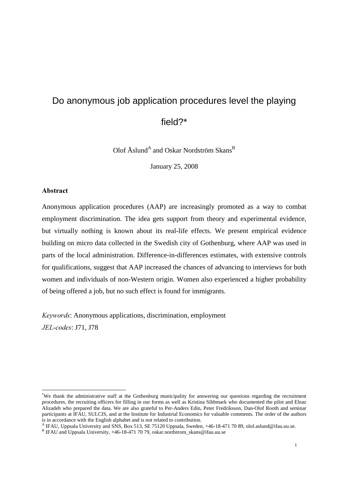# Do anonymous job application procedures level the playing

field?\*

Olof Åslund<sup>A</sup> and Oskar Nordström Skans<sup>B</sup>

January 25, 2008

#### **Abstract**

<u>.</u>

Anonymous application procedures (AAP) are increasingly promoted as a way to combat employment discrimination. The idea gets support from theory and experimental evidence, but virtually nothing is known about its real-life effects. We present empirical evidence building on micro data collected in the Swedish city of Gothenburg, where AAP was used in parts of the local administration. Difference-in-differences estimates, with extensive controls for qualifications, suggest that AAP increased the chances of advancing to interviews for both women and individuals of non-Western origin. Women also experienced a higher probability of being offered a job, but no such effect is found for immigrants.

*Keywords:* Anonymous applications, discrimination, employment *JEL-codes:* J71, J78

<sup>\*</sup>We thank the administrative staff at the Gothenburg municipality for answering our questions regarding the recruitment procedures, the recruiting officers for filling in our forms as well as Kristina Sibbmark who documented the pilot and Elnaz Alizadeh who prepared the data. We are also grateful to Per-Anders Edin, Peter Fredriksson, Dan-Olof Rooth and seminar participants at IFAU, SULCIS, and at the Institute for Industrial Economics for valuable comments. The order of the authors is in accordance with the English alphabet and is not related to contribution.

A IFAU, Uppsala University and SNS, Box 513, SE 75120 Uppsala, Sweden, +46-18-471 70 89, olof.aslund@ifau.uu.se.

<sup>&</sup>lt;sup>B</sup> IFAU and Uppsala University, +46-18-471 70 79, oskar.nordstrom\_skans@ifau.uu.se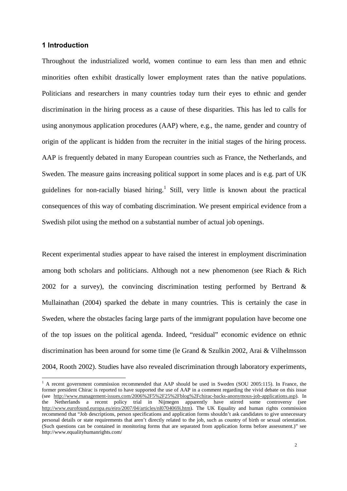#### **1** Introduction

Throughout the industrialized world, women continue to earn less than men and ethnic minorities often exhibit drastically lower employment rates than the native populations. Politicians and researchers in many countries today turn their eyes to ethnic and gender discrimination in the hiring process as a cause of these disparities. This has led to calls for using anonymous application procedures (AAP) where, e.g., the name, gender and country of origin of the applicant is hidden from the recruiter in the initial stages of the hiring process. AAP is frequently debated in many European countries such as France, the Netherlands, and Sweden. The measure gains increasing political support in some places and is e.g. part of UK guidelines for non-racially biased hiring.<sup>1</sup> Still, very little is known about the practical consequences of this way of combating discrimination. We present empirical evidence from a Swedish pilot using the method on a substantial number of actual job openings.

Recent experimental studies appear to have raised the interest in employment discrimination among both scholars and politicians. Although not a new phenomenon (see Riach & Rich 2002 for a survey), the convincing discrimination testing performed by Bertrand & Mullainathan (2004) sparked the debate in many countries. This is certainly the case in Sweden, where the obstacles facing large parts of the immigrant population have become one of the top issues on the political agenda. Indeed, "residual" economic evidence on ethnic discrimination has been around for some time (le Grand & Szulkin 2002, Arai & Vilhelmsson 2004, Rooth 2002). Studies have also revealed discrimination through laboratory experiments,

<sup>&</sup>lt;sup>1</sup> A recent government commission recommended that AAP should be used in Sweden (SOU 2005:115). In France, the former president Chirac is reported to have supported the use of AAP in a comment regarding the vivid debate on this issue (see http://www.management-issues.com/2006%2F5%2F25%2Fblog%2Fchirac-backs-anonymous-job-applications.asp). In the Netherlands a recent policy trial in Nijmegen apparently have stirred some controversy (see http://www.eurofound.europa.eu/eiro/2007/04/articles/nl0704069i.htm). The UK Equality and human rights commission recommend that "Job descriptions, person specifications and application forms shouldn't ask candidates to give unnecessary personal details or state requirements that aren't directly related to the job, such as country of birth or sexual orientation. (Such questions can be contained in monitoring forms that are separated from application forms before assessment.)" see http://www.equalityhumanrights.com/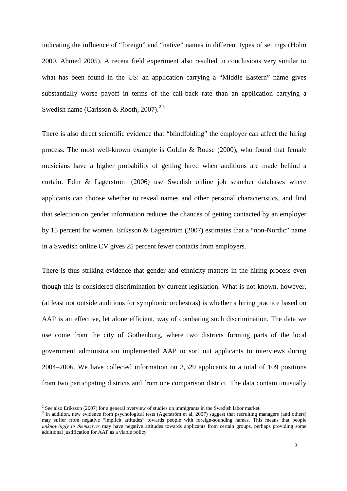indicating the influence of "foreign" and "native" names in different types of settings (Holm 2000, Ahmed 2005). A recent field experiment also resulted in conclusions very similar to what has been found in the US: an application carrying a "Middle Eastern" name gives substantially worse payoff in terms of the call-back rate than an application carrying a Swedish name (Carlsson & Rooth,  $2007$ ).<sup>2,3</sup>

There is also direct scientific evidence that "blindfolding" the employer can affect the hiring process. The most well-known example is Goldin & Rouse (2000), who found that female musicians have a higher probability of getting hired when auditions are made behind a curtain. Edin & Lagerström (2006) use Swedish online job searcher databases where applicants can choose whether to reveal names and other personal characteristics, and find that selection on gender information reduces the chances of getting contacted by an employer by 15 percent for women. Eriksson & Lagerström (2007) estimates that a "non-Nordic" name in a Swedish online CV gives 25 percent fewer contacts from employers.

There is thus striking evidence that gender and ethnicity matters in the hiring process even though this is considered discrimination by current legislation. What is not known, however, (at least not outside auditions for symphonic orchestras) is whether a hiring practice based on AAP is an effective, let alone efficient, way of combating such discrimination. The data we use come from the city of Gothenburg, where two districts forming parts of the local government administration implemented AAP to sort out applicants to interviews during 2004–2006. We have collected information on 3,529 applicants to a total of 109 positions from two participating districts and from one comparison district. The data contain unusually

 2 See also Eriksson (2007) for a general overview of studies on immigrants in the Swedish labor market.

<sup>&</sup>lt;sup>3</sup> In addition, new evidence from psychological tests (Agerström et al, 2007) suggest that recruiting managers (and others) may suffer from negative "implicit attitudes" towards people with foreign-sounding names. This means that people *unknowingly to themselves* may have negative attitudes towards applicants from certain groups, perhaps providing some additional justification for AAP as a viable policy.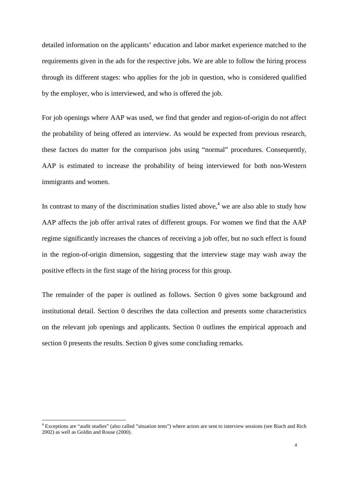detailed information on the applicants' education and labor market experience matched to the requirements given in the ads for the respective jobs. We are able to follow the hiring process through its different stages: who applies for the job in question, who is considered qualified by the employer, who is interviewed, and who is offered the job.

For job openings where AAP was used, we find that gender and region-of-origin do not affect the probability of being offered an interview. As would be expected from previous research, these factors do matter for the comparison jobs using "normal" procedures. Consequently, AAP is estimated to increase the probability of being interviewed for both non-Western immigrants and women.

In contrast to many of the discrimination studies listed above,<sup>4</sup> we are also able to study how AAP affects the job offer arrival rates of different groups. For women we find that the AAP regime significantly increases the chances of receiving a job offer, but no such effect is found in the region-of-origin dimension, suggesting that the interview stage may wash away the positive effects in the first stage of the hiring process for this group.

The remainder of the paper is outlined as follows. Section 0 gives some background and institutional detail. Section 0 describes the data collection and presents some characteristics on the relevant job openings and applicants. Section 0 outlines the empirical approach and section 0 presents the results. Section 0 gives some concluding remarks.

-

<sup>&</sup>lt;sup>4</sup> Exceptions are "audit studies" (also called "situation tests") where actors are sent to interview sessions (see Riach and Rich 2002) as well as Goldin and Rouse (2000).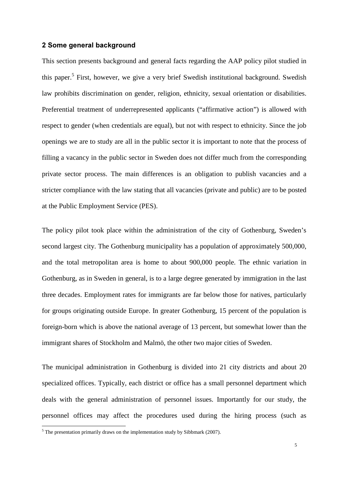#### **2 Some general background**

This section presents background and general facts regarding the AAP policy pilot studied in this paper.<sup>5</sup> First, however, we give a very brief Swedish institutional background. Swedish law prohibits discrimination on gender, religion, ethnicity, sexual orientation or disabilities. Preferential treatment of underrepresented applicants ("affirmative action") is allowed with respect to gender (when credentials are equal), but not with respect to ethnicity. Since the job openings we are to study are all in the public sector it is important to note that the process of filling a vacancy in the public sector in Sweden does not differ much from the corresponding private sector process. The main differences is an obligation to publish vacancies and a stricter compliance with the law stating that all vacancies (private and public) are to be posted at the Public Employment Service (PES).

The policy pilot took place within the administration of the city of Gothenburg, Sweden's second largest city. The Gothenburg municipality has a population of approximately 500,000, and the total metropolitan area is home to about 900,000 people. The ethnic variation in Gothenburg, as in Sweden in general, is to a large degree generated by immigration in the last three decades. Employment rates for immigrants are far below those for natives, particularly for groups originating outside Europe. In greater Gothenburg, 15 percent of the population is foreign-born which is above the national average of 13 percent, but somewhat lower than the immigrant shares of Stockholm and Malmö, the other two major cities of Sweden.

The municipal administration in Gothenburg is divided into 21 city districts and about 20 specialized offices. Typically, each district or office has a small personnel department which deals with the general administration of personnel issues. Importantly for our study, the personnel offices may affect the procedures used during the hiring process (such as

 5 The presentation primarily draws on the implementation study by Sibbmark (2007).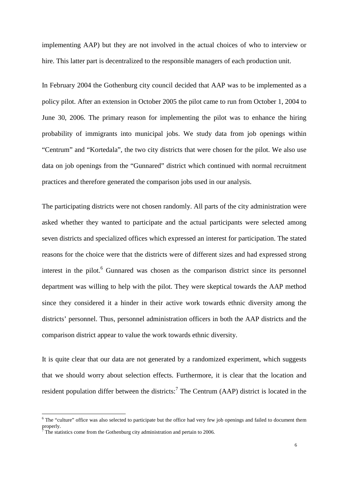implementing AAP) but they are not involved in the actual choices of who to interview or hire. This latter part is decentralized to the responsible managers of each production unit.

In February 2004 the Gothenburg city council decided that AAP was to be implemented as a policy pilot. After an extension in October 2005 the pilot came to run from October 1, 2004 to June 30, 2006. The primary reason for implementing the pilot was to enhance the hiring probability of immigrants into municipal jobs. We study data from job openings within "Centrum" and "Kortedala", the two city districts that were chosen for the pilot. We also use data on job openings from the "Gunnared" district which continued with normal recruitment practices and therefore generated the comparison jobs used in our analysis.

The participating districts were not chosen randomly. All parts of the city administration were asked whether they wanted to participate and the actual participants were selected among seven districts and specialized offices which expressed an interest for participation. The stated reasons for the choice were that the districts were of different sizes and had expressed strong interest in the pilot.<sup>6</sup> Gunnared was chosen as the comparison district since its personnel department was willing to help with the pilot. They were skeptical towards the AAP method since they considered it a hinder in their active work towards ethnic diversity among the districts' personnel. Thus, personnel administration officers in both the AAP districts and the comparison district appear to value the work towards ethnic diversity.

It is quite clear that our data are not generated by a randomized experiment, which suggests that we should worry about selection effects. Furthermore, it is clear that the location and resident population differ between the districts:<sup>7</sup> The Centrum (AAP) district is located in the

-

 $6$  The "culture" office was also selected to participate but the office had very few job openings and failed to document them properly.<br><sup>7</sup> The stati

The statistics come from the Gothenburg city administration and pertain to 2006.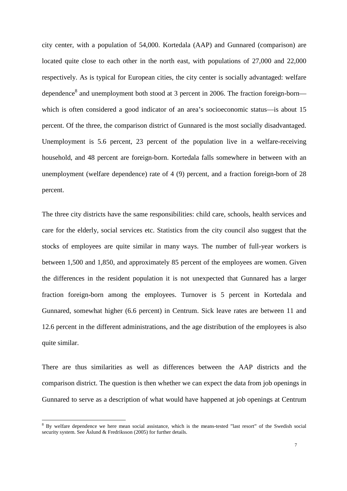city center, with a population of 54,000. Kortedala (AAP) and Gunnared (comparison) are located quite close to each other in the north east, with populations of 27,000 and 22,000 respectively. As is typical for European cities, the city center is socially advantaged: welfare dependence<sup>8</sup> and unemployment both stood at 3 percent in 2006. The fraction foreign-born which is often considered a good indicator of an area's socioeconomic status—is about 15 percent. Of the three, the comparison district of Gunnared is the most socially disadvantaged. Unemployment is 5.6 percent, 23 percent of the population live in a welfare-receiving household, and 48 percent are foreign-born. Kortedala falls somewhere in between with an unemployment (welfare dependence) rate of 4 (9) percent, and a fraction foreign-born of 28 percent.

The three city districts have the same responsibilities: child care, schools, health services and care for the elderly, social services etc. Statistics from the city council also suggest that the stocks of employees are quite similar in many ways. The number of full-year workers is between 1,500 and 1,850, and approximately 85 percent of the employees are women. Given the differences in the resident population it is not unexpected that Gunnared has a larger fraction foreign-born among the employees. Turnover is 5 percent in Kortedala and Gunnared, somewhat higher (6.6 percent) in Centrum. Sick leave rates are between 11 and 12.6 percent in the different administrations, and the age distribution of the employees is also quite similar.

There are thus similarities as well as differences between the AAP districts and the comparison district. The question is then whether we can expect the data from job openings in Gunnared to serve as a description of what would have happened at job openings at Centrum

-

<sup>&</sup>lt;sup>8</sup> By welfare dependence we here mean social assistance, which is the means-tested "last resort" of the Swedish social security system. See Åslund & Fredriksson (2005) for further details.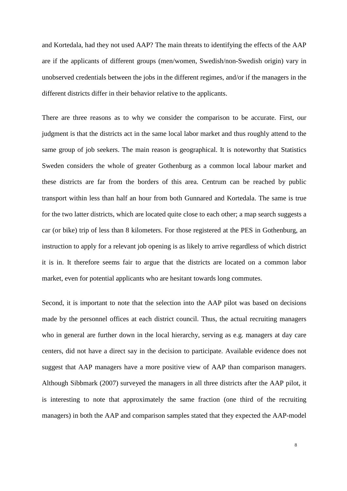and Kortedala, had they not used AAP? The main threats to identifying the effects of the AAP are if the applicants of different groups (men/women, Swedish/non-Swedish origin) vary in unobserved credentials between the jobs in the different regimes, and/or if the managers in the different districts differ in their behavior relative to the applicants.

There are three reasons as to why we consider the comparison to be accurate. First, our judgment is that the districts act in the same local labor market and thus roughly attend to the same group of job seekers. The main reason is geographical. It is noteworthy that Statistics Sweden considers the whole of greater Gothenburg as a common local labour market and these districts are far from the borders of this area. Centrum can be reached by public transport within less than half an hour from both Gunnared and Kortedala. The same is true for the two latter districts, which are located quite close to each other; a map search suggests a car (or bike) trip of less than 8 kilometers. For those registered at the PES in Gothenburg, an instruction to apply for a relevant job opening is as likely to arrive regardless of which district it is in. It therefore seems fair to argue that the districts are located on a common labor market, even for potential applicants who are hesitant towards long commutes.

Second, it is important to note that the selection into the AAP pilot was based on decisions made by the personnel offices at each district council. Thus, the actual recruiting managers who in general are further down in the local hierarchy, serving as e.g. managers at day care centers, did not have a direct say in the decision to participate. Available evidence does not suggest that AAP managers have a more positive view of AAP than comparison managers. Although Sibbmark (2007) surveyed the managers in all three districts after the AAP pilot, it is interesting to note that approximately the same fraction (one third of the recruiting managers) in both the AAP and comparison samples stated that they expected the AAP-model

8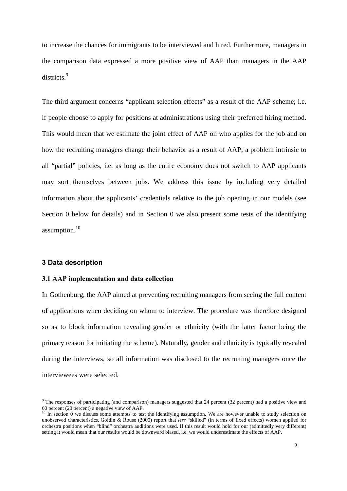to increase the chances for immigrants to be interviewed and hired. Furthermore, managers in the comparison data expressed a more positive view of AAP than managers in the AAP districts.<sup>9</sup>

The third argument concerns "applicant selection effects" as a result of the AAP scheme; i.e. if people choose to apply for positions at administrations using their preferred hiring method. This would mean that we estimate the joint effect of AAP on who applies for the job and on how the recruiting managers change their behavior as a result of AAP; a problem intrinsic to all "partial" policies, i.e. as long as the entire economy does not switch to AAP applicants may sort themselves between jobs. We address this issue by including very detailed information about the applicants' credentials relative to the job opening in our models (see Section 0 below for details) and in Section 0 we also present some tests of the identifying assumption.<sup>10</sup>

#### **3 Data description**

<u>.</u>

#### **3.1 AAP implementation and data collection**

In Gothenburg, the AAP aimed at preventing recruiting managers from seeing the full content of applications when deciding on whom to interview. The procedure was therefore designed so as to block information revealing gender or ethnicity (with the latter factor being the primary reason for initiating the scheme). Naturally, gender and ethnicity is typically revealed during the interviews, so all information was disclosed to the recruiting managers once the interviewees were selected.

<sup>&</sup>lt;sup>9</sup> The responses of participating (and comparison) managers suggested that 24 percent (32 percent) had a positive view and 60 percent (20 percent) a negative view of AAP.

 $10 \text{ In section 0 we discuss some attempts to test the identifying assumption. We are however unable to study selection on$ unobserved characteristics. Goldin & Rouse (2000) report that *less* "skilled" (in terms of fixed effects) women applied for orchestra positions when "blind" orchestra auditions were used. If this result would hold for our (admittedly very different) setting it would mean that our results would be downward biased, i.e. we would underestimate the effects of AAP.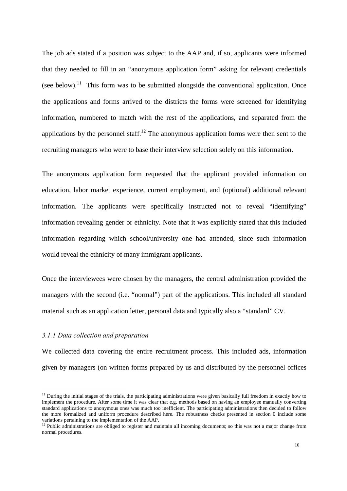The job ads stated if a position was subject to the AAP and, if so, applicants were informed that they needed to fill in an "anonymous application form" asking for relevant credentials (see below).<sup>11</sup> This form was to be submitted alongside the conventional application. Once the applications and forms arrived to the districts the forms were screened for identifying information, numbered to match with the rest of the applications, and separated from the applications by the personnel staff.<sup>12</sup> The anonymous application forms were then sent to the recruiting managers who were to base their interview selection solely on this information.

The anonymous application form requested that the applicant provided information on education, labor market experience, current employment, and (optional) additional relevant information. The applicants were specifically instructed not to reveal "identifying" information revealing gender or ethnicity. Note that it was explicitly stated that this included information regarding which school/university one had attended, since such information would reveal the ethnicity of many immigrant applicants.

Once the interviewees were chosen by the managers, the central administration provided the managers with the second (i.e. "normal") part of the applications. This included all standard material such as an application letter, personal data and typically also a "standard" CV.

#### *3.1.1 Data collection and preparation*

<u>.</u>

We collected data covering the entire recruitment process. This included ads, information given by managers (on written forms prepared by us and distributed by the personnel offices

 $11$  During the initial stages of the trials, the participating administrations were given basically full freedom in exactly how to implement the procedure. After some time it was clear that e.g. methods based on having an employee manually converting standard applications to anonymous ones was much too inefficient. The participating administrations then decided to follow the more formalized and uniform procedure described here. The robustness checks presented in section 0 include some variations pertaining to the implementation of the AAP.

 $12$  Public administrations are obliged to register and maintain all incoming documents; so this was not a major change from normal procedures.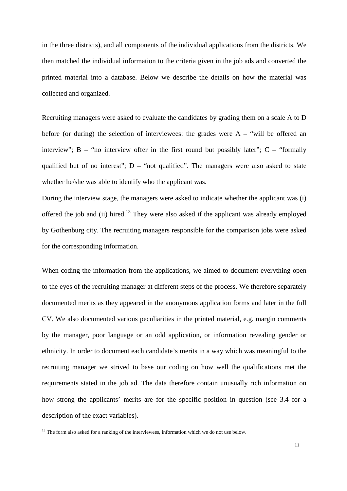in the three districts), and all components of the individual applications from the districts. We then matched the individual information to the criteria given in the job ads and converted the printed material into a database. Below we describe the details on how the material was collected and organized.

Recruiting managers were asked to evaluate the candidates by grading them on a scale A to D before (or during) the selection of interviewees: the grades were  $A -$  "will be offered an interview";  $B -$  "no interview offer in the first round but possibly later";  $C -$  "formally qualified but of no interest";  $D - \text{``not qualified''}.$  The managers were also asked to state whether he/she was able to identify who the applicant was.

During the interview stage, the managers were asked to indicate whether the applicant was (i) offered the job and (ii) hired.<sup>13</sup> They were also asked if the applicant was already employed by Gothenburg city. The recruiting managers responsible for the comparison jobs were asked for the corresponding information.

When coding the information from the applications, we aimed to document everything open to the eyes of the recruiting manager at different steps of the process. We therefore separately documented merits as they appeared in the anonymous application forms and later in the full CV. We also documented various peculiarities in the printed material, e.g. margin comments by the manager, poor language or an odd application, or information revealing gender or ethnicity. In order to document each candidate's merits in a way which was meaningful to the recruiting manager we strived to base our coding on how well the qualifications met the requirements stated in the job ad. The data therefore contain unusually rich information on how strong the applicants' merits are for the specific position in question (see 3.4 for a description of the exact variables).

<u>.</u>

<sup>&</sup>lt;sup>13</sup> The form also asked for a ranking of the interviewees, information which we do not use below.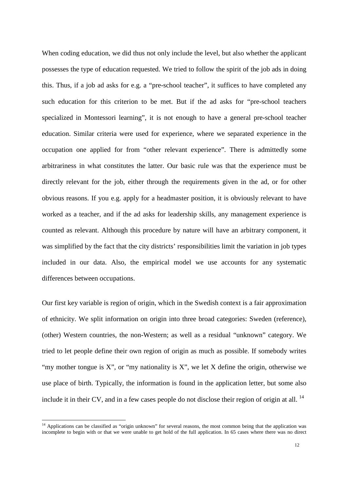When coding education, we did thus not only include the level, but also whether the applicant possesses the type of education requested. We tried to follow the spirit of the job ads in doing this. Thus, if a job ad asks for e.g. a "pre-school teacher", it suffices to have completed any such education for this criterion to be met. But if the ad asks for "pre-school teachers specialized in Montessori learning", it is not enough to have a general pre-school teacher education. Similar criteria were used for experience, where we separated experience in the occupation one applied for from "other relevant experience". There is admittedly some arbitrariness in what constitutes the latter. Our basic rule was that the experience must be directly relevant for the job, either through the requirements given in the ad, or for other obvious reasons. If you e.g. apply for a headmaster position, it is obviously relevant to have worked as a teacher, and if the ad asks for leadership skills, any management experience is counted as relevant. Although this procedure by nature will have an arbitrary component, it was simplified by the fact that the city districts' responsibilities limit the variation in job types included in our data. Also, the empirical model we use accounts for any systematic differences between occupations.

Our first key variable is region of origin, which in the Swedish context is a fair approximation of ethnicity. We split information on origin into three broad categories: Sweden (reference), (other) Western countries, the non-Western; as well as a residual "unknown" category. We tried to let people define their own region of origin as much as possible. If somebody writes "my mother tongue is  $X$ ", or "my nationality is  $X$ ", we let  $X$  define the origin, otherwise we use place of birth. Typically, the information is found in the application letter, but some also include it in their CV, and in a few cases people do not disclose their region of origin at all. <sup>14</sup>

-

<sup>&</sup>lt;sup>14</sup> Applications can be classified as "origin unknown" for several reasons, the most common being that the application was incomplete to begin with or that we were unable to get hold of the full application. In 65 cases where there was no direct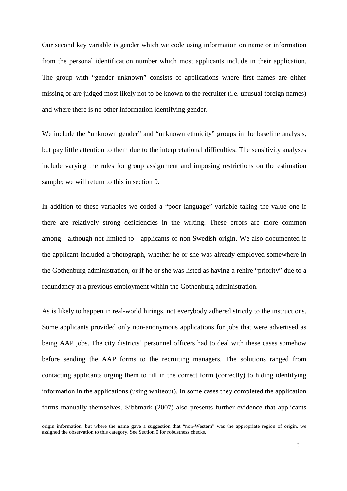Our second key variable is gender which we code using information on name or information from the personal identification number which most applicants include in their application. The group with "gender unknown" consists of applications where first names are either missing or are judged most likely not to be known to the recruiter (i.e. unusual foreign names) and where there is no other information identifying gender.

We include the "unknown gender" and "unknown ethnicity" groups in the baseline analysis, but pay little attention to them due to the interpretational difficulties. The sensitivity analyses include varying the rules for group assignment and imposing restrictions on the estimation sample; we will return to this in section 0.

In addition to these variables we coded a "poor language" variable taking the value one if there are relatively strong deficiencies in the writing. These errors are more common among—although not limited to—applicants of non-Swedish origin. We also documented if the applicant included a photograph, whether he or she was already employed somewhere in the Gothenburg administration, or if he or she was listed as having a rehire "priority" due to a redundancy at a previous employment within the Gothenburg administration.

As is likely to happen in real-world hirings, not everybody adhered strictly to the instructions. Some applicants provided only non-anonymous applications for jobs that were advertised as being AAP jobs. The city districts' personnel officers had to deal with these cases somehow before sending the AAP forms to the recruiting managers. The solutions ranged from contacting applicants urging them to fill in the correct form (correctly) to hiding identifying information in the applications (using whiteout). In some cases they completed the application forms manually themselves. Sibbmark (2007) also presents further evidence that applicants

 $\overline{a}$ 

origin information, but where the name gave a suggestion that "non-Western" was the appropriate region of origin, we assigned the observation to this category. See Section 0 for robustness checks.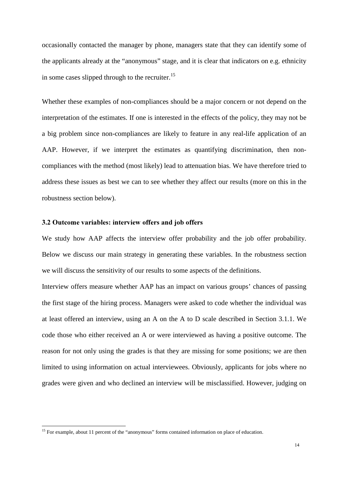occasionally contacted the manager by phone, managers state that they can identify some of the applicants already at the "anonymous" stage, and it is clear that indicators on e.g. ethnicity in some cases slipped through to the recruiter.<sup>15</sup>

Whether these examples of non-compliances should be a major concern or not depend on the interpretation of the estimates. If one is interested in the effects of the policy, they may not be a big problem since non-compliances are likely to feature in any real-life application of an AAP. However, if we interpret the estimates as quantifying discrimination, then noncompliances with the method (most likely) lead to attenuation bias. We have therefore tried to address these issues as best we can to see whether they affect our results (more on this in the robustness section below).

#### 3.2 Outcome variables: interview offers and job offers

We study how AAP affects the interview offer probability and the job offer probability. Below we discuss our main strategy in generating these variables. In the robustness section we will discuss the sensitivity of our results to some aspects of the definitions.

Interview offers measure whether AAP has an impact on various groups' chances of passing the first stage of the hiring process. Managers were asked to code whether the individual was at least offered an interview, using an A on the A to D scale described in Section 3.1.1. We code those who either received an A or were interviewed as having a positive outcome. The reason for not only using the grades is that they are missing for some positions; we are then limited to using information on actual interviewees. Obviously, applicants for jobs where no grades were given and who declined an interview will be misclassified. However, judging on

<u>.</u>

<sup>&</sup>lt;sup>15</sup> For example, about 11 percent of the "anonymous" forms contained information on place of education.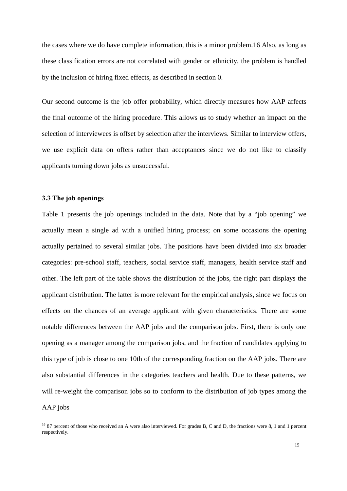the cases where we do have complete information, this is a minor problem.16 Also, as long as these classification errors are not correlated with gender or ethnicity, the problem is handled by the inclusion of hiring fixed effects, as described in section 0.

Our second outcome is the job offer probability, which directly measures how AAP affects the final outcome of the hiring procedure. This allows us to study whether an impact on the selection of interviewees is offset by selection after the interviews. Similar to interview offers, we use explicit data on offers rather than acceptances since we do not like to classify applicants turning down jobs as unsuccessful.

#### **3.3 The job openings**

-

Table 1 presents the job openings included in the data. Note that by a "job opening" we actually mean a single ad with a unified hiring process; on some occasions the opening actually pertained to several similar jobs. The positions have been divided into six broader categories: pre-school staff, teachers, social service staff, managers, health service staff and other. The left part of the table shows the distribution of the jobs, the right part displays the applicant distribution. The latter is more relevant for the empirical analysis, since we focus on effects on the chances of an average applicant with given characteristics. There are some notable differences between the AAP jobs and the comparison jobs. First, there is only one opening as a manager among the comparison jobs, and the fraction of candidates applying to this type of job is close to one 10th of the corresponding fraction on the AAP jobs. There are also substantial differences in the categories teachers and health. Due to these patterns, we will re-weight the comparison jobs so to conform to the distribution of job types among the AAP jobs

 $16$  87 percent of those who received an A were also interviewed. For grades B, C and D, the fractions were 8, 1 and 1 percent respectively.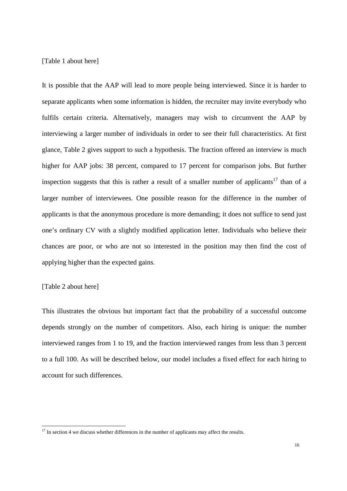[Table 1 about here]

It is possible that the AAP will lead to more people being interviewed. Since it is harder to separate applicants when some information is hidden, the recruiter may invite everybody who fulfils certain criteria. Alternatively, managers may wish to circumvent the AAP by interviewing a larger number of individuals in order to see their full characteristics. At first glance, Table 2 gives support to such a hypothesis. The fraction offered an interview is much higher for AAP jobs: 38 percent, compared to 17 percent for comparison jobs. But further inspection suggests that this is rather a result of a smaller number of applicants<sup>17</sup> than of a larger number of interviewees. One possible reason for the difference in the number of applicants is that the anonymous procedure is more demanding; it does not suffice to send just one's ordinary CV with a slightly modified application letter. Individuals who believe their chances are poor, or who are not so interested in the position may then find the cost of applying higher than the expected gains.

[Table 2 about here]

<u>.</u>

This illustrates the obvious but important fact that the probability of a successful outcome depends strongly on the number of competitors. Also, each hiring is unique: the number interviewed ranges from 1 to 19, and the fraction interviewed ranges from less than 3 percent to a full 100. As will be described below, our model includes a fixed effect for each hiring to account for such differences.

<sup>&</sup>lt;sup>17</sup> In section 4 we discuss whether differences in the number of applicants may affect the results.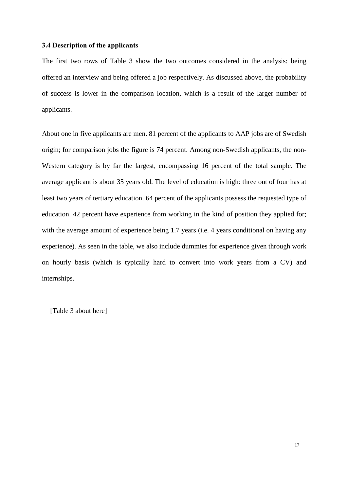#### **3.4 Description of the applicants**

The first two rows of Table 3 show the two outcomes considered in the analysis: being offered an interview and being offered a job respectively. As discussed above, the probability of success is lower in the comparison location, which is a result of the larger number of applicants.

About one in five applicants are men. 81 percent of the applicants to AAP jobs are of Swedish origin; for comparison jobs the figure is 74 percent. Among non-Swedish applicants, the non-Western category is by far the largest, encompassing 16 percent of the total sample. The average applicant is about 35 years old. The level of education is high: three out of four has at least two years of tertiary education. 64 percent of the applicants possess the requested type of education. 42 percent have experience from working in the kind of position they applied for; with the average amount of experience being 1.7 years (i.e. 4 years conditional on having any experience). As seen in the table, we also include dummies for experience given through work on hourly basis (which is typically hard to convert into work years from a CV) and internships.

[Table 3 about here]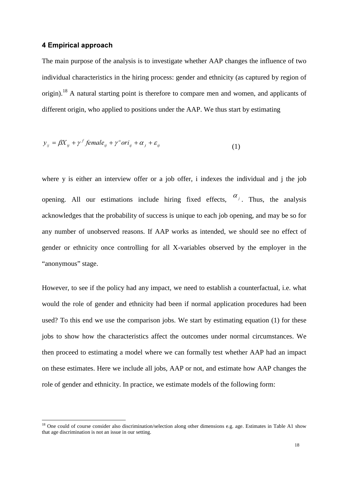#### **4 Empirical approach**

-

The main purpose of the analysis is to investigate whether AAP changes the influence of two individual characteristics in the hiring process: gender and ethnicity (as captured by region of origin).<sup>18</sup> A natural starting point is therefore to compare men and women, and applicants of different origin, who applied to positions under the AAP. We thus start by estimating

$$
y_{ij} = \beta X_{ij} + \gamma^f female_{ij} + \gamma^o ori_{ij} + \alpha_j + \varepsilon_{ij}
$$
 (1)

where y is either an interview offer or a job offer, i indexes the individual and j the job opening. All our estimations include hiring fixed effects,  $\alpha_j$ . Thus, the analysis acknowledges that the probability of success is unique to each job opening, and may be so for any number of unobserved reasons. If AAP works as intended, we should see no effect of gender or ethnicity once controlling for all X-variables observed by the employer in the "anonymous" stage.

However, to see if the policy had any impact, we need to establish a counterfactual, i.e. what would the role of gender and ethnicity had been if normal application procedures had been used? To this end we use the comparison jobs. We start by estimating equation (1) for these jobs to show how the characteristics affect the outcomes under normal circumstances. We then proceed to estimating a model where we can formally test whether AAP had an impact on these estimates. Here we include all jobs, AAP or not, and estimate how AAP changes the role of gender and ethnicity. In practice, we estimate models of the following form:

 $18$  One could of course consider also discrimination/selection along other dimensions e.g. age. Estimates in Table A1 show that age discrimination is not an issue in our setting.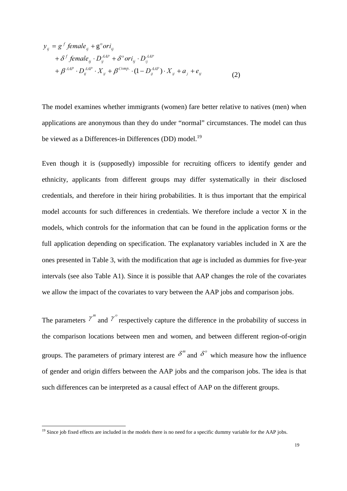$$
y_{ij} = g^f
$$
 female<sub>ij</sub> + g<sup>o</sup>ori<sub>ij</sub>  
+  $\delta^f$  female<sub>ij</sub> · D<sub>ij</sub><sup>MAP</sup> +  $\delta^o$ ori<sub>ij</sub> · D<sub>ij</sub><sup>MAP</sup>  
+  $\beta^{AMP} · D_{ij}^{AMP} · X_{ij} + \beta^{Comp} · (1 - D_{ij}^{AMP}) · X_{ij} + a_j + e_{ij}$  (2)

The model examines whether immigrants (women) fare better relative to natives (men) when applications are anonymous than they do under "normal" circumstances. The model can thus be viewed as a Differences-in Differences (DD) model.<sup>19</sup>

Even though it is (supposedly) impossible for recruiting officers to identify gender and ethnicity, applicants from different groups may differ systematically in their disclosed credentials, and therefore in their hiring probabilities. It is thus important that the empirical model accounts for such differences in credentials. We therefore include a vector X in the models, which controls for the information that can be found in the application forms or the full application depending on specification. The explanatory variables included in X are the ones presented in Table 3, with the modification that age is included as dummies for five-year intervals (see also Table A1). Since it is possible that AAP changes the role of the covariates we allow the impact of the covariates to vary between the AAP jobs and comparison jobs.

The parameters  $\gamma^{m}$  and  $\gamma^{o}$  respectively capture the difference in the probability of success in the comparison locations between men and women, and between different region-of-origin groups. The parameters of primary interest are  $\delta^m$  and  $\delta^o$  which measure how the influence of gender and origin differs between the AAP jobs and the comparison jobs. The idea is that such differences can be interpreted as a causal effect of AAP on the different groups.

<u>.</u>

 $19$  Since job fixed effects are included in the models there is no need for a specific dummy variable for the AAP jobs.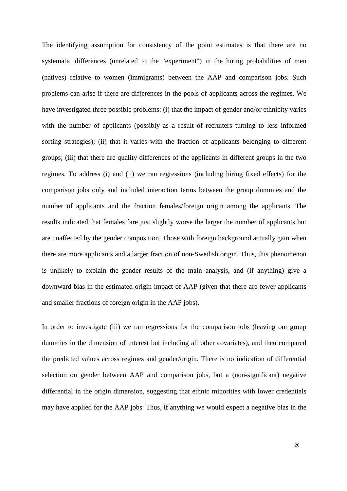The identifying assumption for consistency of the point estimates is that there are no systematic differences (unrelated to the "experiment") in the hiring probabilities of men (natives) relative to women (immigrants) between the AAP and comparison jobs. Such problems can arise if there are differences in the pools of applicants across the regimes. We have investigated three possible problems: (i) that the impact of gender and/or ethnicity varies with the number of applicants (possibly as a result of recruiters turning to less informed sorting strategies); (ii) that it varies with the fraction of applicants belonging to different groups; (iii) that there are quality differences of the applicants in different groups in the two regimes. To address (i) and (ii) we ran regressions (including hiring fixed effects) for the comparison jobs only and included interaction terms between the group dummies and the number of applicants and the fraction females/foreign origin among the applicants. The results indicated that females fare just slightly worse the larger the number of applicants but are unaffected by the gender composition. Those with foreign background actually gain when there are more applicants and a larger fraction of non-Swedish origin. Thus, this phenomenon is unlikely to explain the gender results of the main analysis, and (if anything) give a downward bias in the estimated origin impact of AAP (given that there are fewer applicants and smaller fractions of foreign origin in the AAP jobs).

In order to investigate (iii) we ran regressions for the comparison jobs (leaving out group dummies in the dimension of interest but including all other covariates), and then compared the predicted values across regimes and gender/origin. There is no indication of differential selection on gender between AAP and comparison jobs, but a (non-significant) negative differential in the origin dimension, suggesting that ethnic minorities with lower credentials may have applied for the AAP jobs. Thus, if anything we would expect a negative bias in the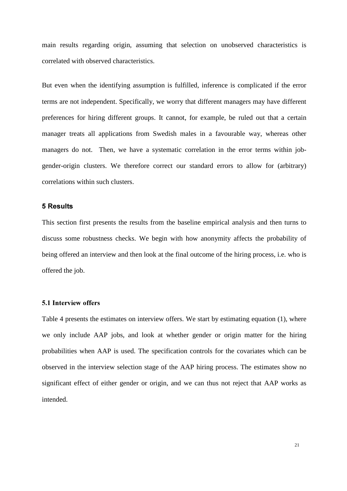main results regarding origin, assuming that selection on unobserved characteristics is correlated with observed characteristics.

But even when the identifying assumption is fulfilled, inference is complicated if the error terms are not independent. Specifically, we worry that different managers may have different preferences for hiring different groups. It cannot, for example, be ruled out that a certain manager treats all applications from Swedish males in a favourable way, whereas other managers do not. Then, we have a systematic correlation in the error terms within jobgender-origin clusters. We therefore correct our standard errors to allow for (arbitrary) correlations within such clusters.

#### **5** Results

This section first presents the results from the baseline empirical analysis and then turns to discuss some robustness checks. We begin with how anonymity affects the probability of being offered an interview and then look at the final outcome of the hiring process, i.e. who is offered the job.

#### **5.1 Interview offers**

Table 4 presents the estimates on interview offers. We start by estimating equation (1), where we only include AAP jobs, and look at whether gender or origin matter for the hiring probabilities when AAP is used. The specification controls for the covariates which can be observed in the interview selection stage of the AAP hiring process. The estimates show no significant effect of either gender or origin, and we can thus not reject that AAP works as intended.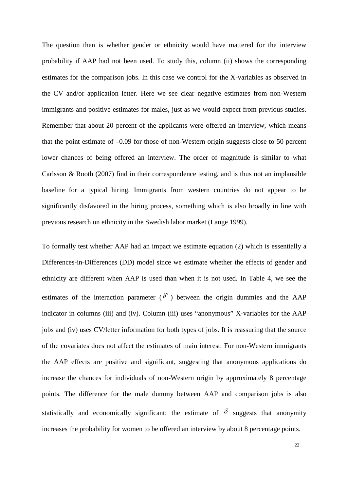The question then is whether gender or ethnicity would have mattered for the interview probability if AAP had not been used. To study this, column (ii) shows the corresponding estimates for the comparison jobs. In this case we control for the X-variables as observed in the CV and/or application letter. Here we see clear negative estimates from non-Western immigrants and positive estimates for males, just as we would expect from previous studies. Remember that about 20 percent of the applicants were offered an interview, which means that the point estimate of –0.09 for those of non-Western origin suggests close to 50 percent lower chances of being offered an interview. The order of magnitude is similar to what Carlsson & Rooth (2007) find in their correspondence testing, and is thus not an implausible baseline for a typical hiring. Immigrants from western countries do not appear to be significantly disfavored in the hiring process, something which is also broadly in line with previous research on ethnicity in the Swedish labor market (Lange 1999).

To formally test whether AAP had an impact we estimate equation (2) which is essentially a Differences-in-Differences (DD) model since we estimate whether the effects of gender and ethnicity are different when AAP is used than when it is not used. In Table 4, we see the estimates of the interaction parameter ( $\delta'$ ) between the origin dummies and the AAP indicator in columns (iii) and (iv). Column (iii) uses "anonymous" X-variables for the AAP jobs and (iv) uses CV/letter information for both types of jobs. It is reassuring that the source of the covariates does not affect the estimates of main interest. For non-Western immigrants the AAP effects are positive and significant, suggesting that anonymous applications do increase the chances for individuals of non-Western origin by approximately 8 percentage points. The difference for the male dummy between AAP and comparison jobs is also statistically and economically significant: the estimate of  $\delta$  suggests that anonymity increases the probability for women to be offered an interview by about 8 percentage points.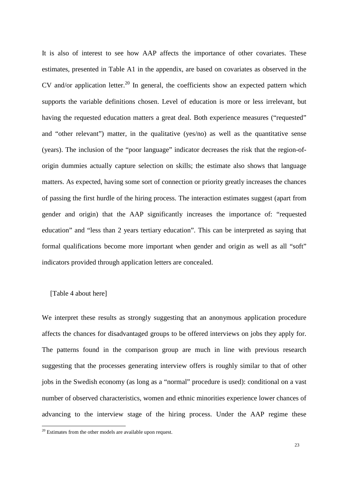It is also of interest to see how AAP affects the importance of other covariates. These estimates, presented in Table A1 in the appendix, are based on covariates as observed in the CV and/or application letter.<sup>20</sup> In general, the coefficients show an expected pattern which supports the variable definitions chosen. Level of education is more or less irrelevant, but having the requested education matters a great deal. Both experience measures ("requested" and "other relevant") matter, in the qualitative (yes/no) as well as the quantitative sense (years). The inclusion of the "poor language" indicator decreases the risk that the region-oforigin dummies actually capture selection on skills; the estimate also shows that language matters. As expected, having some sort of connection or priority greatly increases the chances of passing the first hurdle of the hiring process. The interaction estimates suggest (apart from gender and origin) that the AAP significantly increases the importance of: "requested education" and "less than 2 years tertiary education". This can be interpreted as saying that formal qualifications become more important when gender and origin as well as all "soft" indicators provided through application letters are concealed.

#### [Table 4 about here]

<u>.</u>

We interpret these results as strongly suggesting that an anonymous application procedure affects the chances for disadvantaged groups to be offered interviews on jobs they apply for. The patterns found in the comparison group are much in line with previous research suggesting that the processes generating interview offers is roughly similar to that of other jobs in the Swedish economy (as long as a "normal" procedure is used): conditional on a vast number of observed characteristics, women and ethnic minorities experience lower chances of advancing to the interview stage of the hiring process. Under the AAP regime these

 $20$  Estimates from the other models are available upon request.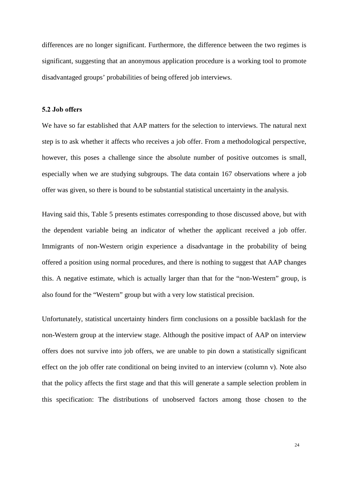differences are no longer significant. Furthermore, the difference between the two regimes is significant, suggesting that an anonymous application procedure is a working tool to promote disadvantaged groups' probabilities of being offered job interviews.

#### 5.2 Job offers

We have so far established that AAP matters for the selection to interviews. The natural next step is to ask whether it affects who receives a job offer. From a methodological perspective, however, this poses a challenge since the absolute number of positive outcomes is small, especially when we are studying subgroups. The data contain 167 observations where a job offer was given, so there is bound to be substantial statistical uncertainty in the analysis.

Having said this, Table 5 presents estimates corresponding to those discussed above, but with the dependent variable being an indicator of whether the applicant received a job offer. Immigrants of non-Western origin experience a disadvantage in the probability of being offered a position using normal procedures, and there is nothing to suggest that AAP changes this. A negative estimate, which is actually larger than that for the "non-Western" group, is also found for the "Western" group but with a very low statistical precision.

Unfortunately, statistical uncertainty hinders firm conclusions on a possible backlash for the non-Western group at the interview stage. Although the positive impact of AAP on interview offers does not survive into job offers, we are unable to pin down a statistically significant effect on the job offer rate conditional on being invited to an interview (column v). Note also that the policy affects the first stage and that this will generate a sample selection problem in this specification: The distributions of unobserved factors among those chosen to the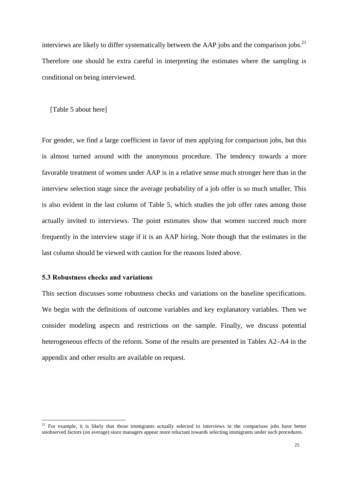interviews are likely to differ systematically between the AAP jobs and the comparison jobs.<sup>21</sup> Therefore one should be extra careful in interpreting the estimates where the sampling is conditional on being interviewed.

[Table 5 about here]

For gender, we find a large coefficient in favor of men applying for comparison jobs, but this is almost turned around with the anonymous procedure. The tendency towards a more favorable treatment of women under AAP is in a relative sense much stronger here than in the interview selection stage since the average probability of a job offer is so much smaller. This is also evident in the last column of Table 5, which studies the job offer rates among those actually invited to interviews. The point estimates show that women succeed much more frequently in the interview stage if it is an AAP hiring. Note though that the estimates in the last column should be viewed with caution for the reasons listed above.

#### **5.3 Robustness checks and variations**

-

This section discusses some robustness checks and variations on the baseline specifications. We begin with the definitions of outcome variables and key explanatory variables. Then we consider modeling aspects and restrictions on the sample. Finally, we discuss potential heterogeneous effects of the reform. Some of the results are presented in Tables A2–A4 in the appendix and other results are available on request.

<sup>&</sup>lt;sup>21</sup> For example, it is likely that those immigrants actually selected to interviews in the comparison jobs have better unobserved factors (on average) since managers appear more reluctant towards selecting immigrants under such procedures.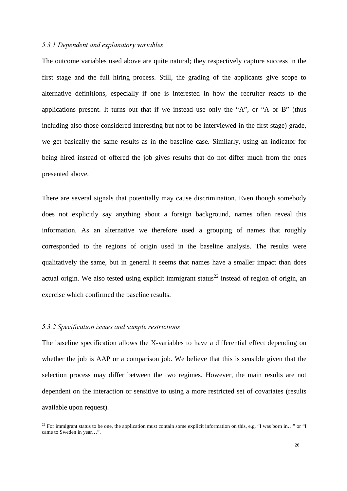#### 5.3.1 Dependent and explanatory variables

The outcome variables used above are quite natural; they respectively capture success in the first stage and the full hiring process. Still, the grading of the applicants give scope to alternative definitions, especially if one is interested in how the recruiter reacts to the applications present. It turns out that if we instead use only the "A", or "A or B" (thus including also those considered interesting but not to be interviewed in the first stage) grade, we get basically the same results as in the baseline case. Similarly, using an indicator for being hired instead of offered the job gives results that do not differ much from the ones presented above.

There are several signals that potentially may cause discrimination. Even though somebody does not explicitly say anything about a foreign background, names often reveal this information. As an alternative we therefore used a grouping of names that roughly corresponded to the regions of origin used in the baseline analysis. The results were qualitatively the same, but in general it seems that names have a smaller impact than does actual origin. We also tested using explicit immigrant status<sup>22</sup> instead of region of origin, an exercise which confirmed the baseline results.

#### 5.3.2 Specification issues and sample restrictions

-

The baseline specification allows the X-variables to have a differential effect depending on whether the job is AAP or a comparison job. We believe that this is sensible given that the selection process may differ between the two regimes. However, the main results are not dependent on the interaction or sensitive to using a more restricted set of covariates (results available upon request).

<sup>&</sup>lt;sup>22</sup> For immigrant status to be one, the application must contain some explicit information on this, e.g. "I was born in..." or "I came to Sweden in year…".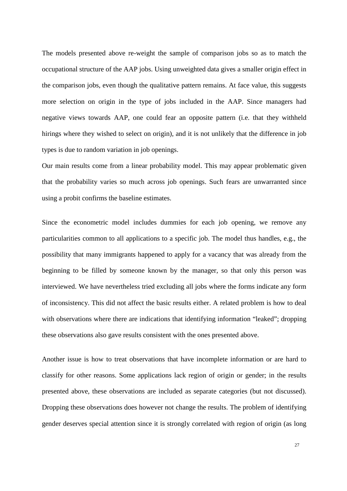The models presented above re-weight the sample of comparison jobs so as to match the occupational structure of the AAP jobs. Using unweighted data gives a smaller origin effect in the comparison jobs, even though the qualitative pattern remains. At face value, this suggests more selection on origin in the type of jobs included in the AAP. Since managers had negative views towards AAP, one could fear an opposite pattern (i.e. that they withheld hirings where they wished to select on origin), and it is not unlikely that the difference in job types is due to random variation in job openings.

Our main results come from a linear probability model. This may appear problematic given that the probability varies so much across job openings. Such fears are unwarranted since using a probit confirms the baseline estimates.

Since the econometric model includes dummies for each job opening, we remove any particularities common to all applications to a specific job. The model thus handles, e.g., the possibility that many immigrants happened to apply for a vacancy that was already from the beginning to be filled by someone known by the manager, so that only this person was interviewed. We have nevertheless tried excluding all jobs where the forms indicate any form of inconsistency. This did not affect the basic results either. A related problem is how to deal with observations where there are indications that identifying information "leaked"; dropping these observations also gave results consistent with the ones presented above.

Another issue is how to treat observations that have incomplete information or are hard to classify for other reasons. Some applications lack region of origin or gender; in the results presented above, these observations are included as separate categories (but not discussed). Dropping these observations does however not change the results. The problem of identifying gender deserves special attention since it is strongly correlated with region of origin (as long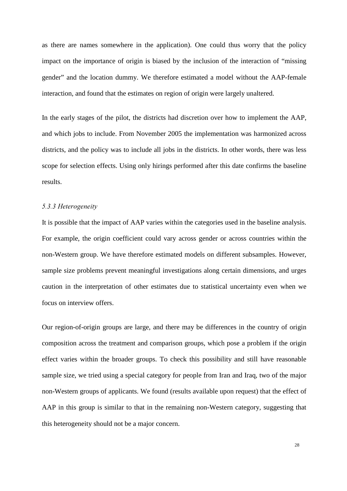as there are names somewhere in the application). One could thus worry that the policy impact on the importance of origin is biased by the inclusion of the interaction of "missing gender" and the location dummy. We therefore estimated a model without the AAP-female interaction, and found that the estimates on region of origin were largely unaltered.

In the early stages of the pilot, the districts had discretion over how to implement the AAP, and which jobs to include. From November 2005 the implementation was harmonized across districts, and the policy was to include all jobs in the districts. In other words, there was less scope for selection effects. Using only hirings performed after this date confirms the baseline results.

#### 5.3.3 Heterogeneity

It is possible that the impact of AAP varies within the categories used in the baseline analysis. For example, the origin coefficient could vary across gender or across countries within the non-Western group. We have therefore estimated models on different subsamples. However, sample size problems prevent meaningful investigations along certain dimensions, and urges caution in the interpretation of other estimates due to statistical uncertainty even when we focus on interview offers.

Our region-of-origin groups are large, and there may be differences in the country of origin composition across the treatment and comparison groups, which pose a problem if the origin effect varies within the broader groups. To check this possibility and still have reasonable sample size, we tried using a special category for people from Iran and Iraq, two of the major non-Western groups of applicants. We found (results available upon request) that the effect of AAP in this group is similar to that in the remaining non-Western category, suggesting that this heterogeneity should not be a major concern.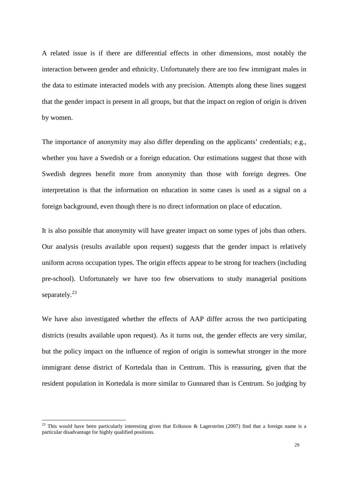A related issue is if there are differential effects in other dimensions, most notably the interaction between gender and ethnicity. Unfortunately there are too few immigrant males in the data to estimate interacted models with any precision. Attempts along these lines suggest that the gender impact is present in all groups, but that the impact on region of origin is driven by women.

The importance of anonymity may also differ depending on the applicants' credentials; e.g., whether you have a Swedish or a foreign education. Our estimations suggest that those with Swedish degrees benefit more from anonymity than those with foreign degrees. One interpretation is that the information on education in some cases is used as a signal on a foreign background, even though there is no direct information on place of education.

It is also possible that anonymity will have greater impact on some types of jobs than others. Our analysis (results available upon request) suggests that the gender impact is relatively uniform across occupation types. The origin effects appear to be strong for teachers (including pre-school). Unfortunately we have too few observations to study managerial positions separately. $^{23}$ 

We have also investigated whether the effects of AAP differ across the two participating districts (results available upon request). As it turns out, the gender effects are very similar, but the policy impact on the influence of region of origin is somewhat stronger in the more immigrant dense district of Kortedala than in Centrum. This is reassuring, given that the resident population in Kortedala is more similar to Gunnared than is Centrum. So judging by

-

<sup>&</sup>lt;sup>23</sup> This would have been particularly interesting given that Eriksson & Lagerström (2007) find that a foreign name is a particular disadvantage for highly qualified positions.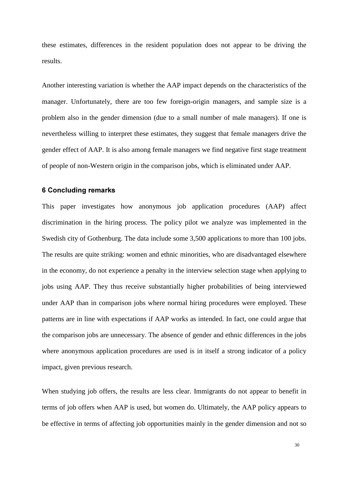these estimates, differences in the resident population does not appear to be driving the results.

Another interesting variation is whether the AAP impact depends on the characteristics of the manager. Unfortunately, there are too few foreign-origin managers, and sample size is a problem also in the gender dimension (due to a small number of male managers). If one is nevertheless willing to interpret these estimates, they suggest that female managers drive the gender effect of AAP. It is also among female managers we find negative first stage treatment of people of non-Western origin in the comparison jobs, which is eliminated under AAP.

#### **6 Concluding remarks**

This paper investigates how anonymous job application procedures (AAP) affect discrimination in the hiring process. The policy pilot we analyze was implemented in the Swedish city of Gothenburg. The data include some 3,500 applications to more than 100 jobs. The results are quite striking: women and ethnic minorities, who are disadvantaged elsewhere in the economy, do not experience a penalty in the interview selection stage when applying to jobs using AAP. They thus receive substantially higher probabilities of being interviewed under AAP than in comparison jobs where normal hiring procedures were employed. These patterns are in line with expectations if AAP works as intended. In fact, one could argue that the comparison jobs are unnecessary. The absence of gender and ethnic differences in the jobs where anonymous application procedures are used is in itself a strong indicator of a policy impact, given previous research.

When studying job offers, the results are less clear. Immigrants do not appear to benefit in terms of job offers when AAP is used, but women do. Ultimately, the AAP policy appears to be effective in terms of affecting job opportunities mainly in the gender dimension and not so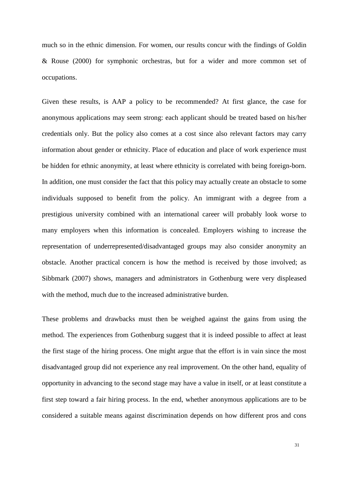much so in the ethnic dimension. For women, our results concur with the findings of Goldin & Rouse (2000) for symphonic orchestras, but for a wider and more common set of occupations.

Given these results, is AAP a policy to be recommended? At first glance, the case for anonymous applications may seem strong: each applicant should be treated based on his/her credentials only. But the policy also comes at a cost since also relevant factors may carry information about gender or ethnicity. Place of education and place of work experience must be hidden for ethnic anonymity, at least where ethnicity is correlated with being foreign-born. In addition, one must consider the fact that this policy may actually create an obstacle to some individuals supposed to benefit from the policy. An immigrant with a degree from a prestigious university combined with an international career will probably look worse to many employers when this information is concealed. Employers wishing to increase the representation of underrepresented/disadvantaged groups may also consider anonymity an obstacle. Another practical concern is how the method is received by those involved; as Sibbmark (2007) shows, managers and administrators in Gothenburg were very displeased with the method, much due to the increased administrative burden.

These problems and drawbacks must then be weighed against the gains from using the method. The experiences from Gothenburg suggest that it is indeed possible to affect at least the first stage of the hiring process. One might argue that the effort is in vain since the most disadvantaged group did not experience any real improvement. On the other hand, equality of opportunity in advancing to the second stage may have a value in itself, or at least constitute a first step toward a fair hiring process. In the end, whether anonymous applications are to be considered a suitable means against discrimination depends on how different pros and cons

31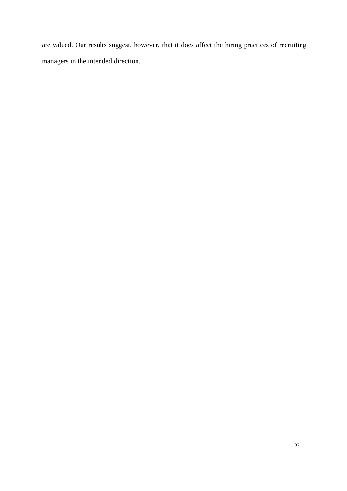are valued. Our results suggest, however, that it does affect the hiring practices of recruiting managers in the intended direction.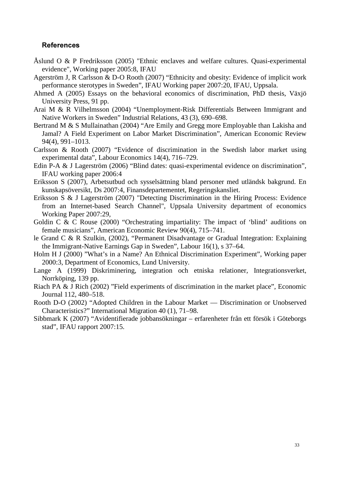#### **References**

- Åslund O & P Fredriksson (2005) "Ethnic enclaves and welfare cultures. Quasi-experimental evidence", Working paper 2005:8, IFAU
- Agerström J, R Carlsson & D-O Rooth (2007) "Ethnicity and obesity: Evidence of implicit work performance sterotypes in Sweden", IFAU Working paper 2007:20, IFAU, Uppsala.
- Ahmed A (2005) Essays on the behavioral economics of discrimination, PhD thesis, Växjö University Press, 91 pp.
- Arai M & R Vilhelmsson (2004) "Unemployment-Risk Differentials Between Immigrant and Native Workers in Sweden" Industrial Relations, 43 (3), 690–698.
- Bertrand M & S Mullainathan (2004) "Are Emily and Gregg more Employable than Lakisha and Jamal? A Field Experiment on Labor Market Discrimination", American Economic Review 94(4), 991–1013.
- Carlsson & Rooth (2007) "Evidence of discrimination in the Swedish labor market using experimental data", Labour Economics 14(4), 716–729.
- Edin P-A & J Lagerström (2006) "Blind dates: quasi-experimental evidence on discrimination". IFAU working paper 2006:4
- Eriksson S (2007), Arbetsutbud och sysselsättning bland personer med utländsk bakgrund. En kunskapsöversikt, Ds 2007:4, Finansdepartementet, Regeringskansliet.
- Eriksson S & J Lagerström (2007) "Detecting Discrimination in the Hiring Process: Evidence from an Internet-based Search Channel", Uppsala University department of economics Working Paper 2007:29,
- Goldin C & C Rouse (2000) "Orchestrating impartiality: The impact of 'blind' auditions on female musicians", American Economic Review 90(4), 715–741.
- le Grand C & R Szulkin, (2002), "Permanent Disadvantage or Gradual Integration: Explaining the Immigrant-Native Earnings Gap in Sweden", Labour 16(1), s 37–64.
- Holm H J (2000) "What's in a Name? An Ethnical Discrimination Experiment", Working paper 2000:3, Department of Economics, Lund University.
- Lange A (1999) Diskriminering, integration och etniska relationer, Integrationsverket, Norrköping, 139 pp.
- Riach PA & J Rich (2002) "Field experiments of discrimination in the market place", Economic Journal 112, 480–518.
- Rooth D-O (2002) "Adopted Children in the Labour Market Discrimination or Unobserved Characteristics?" International Migration 40 (1), 71–98.
- Sibbmark K (2007) "Avidentifierade jobbansökningar erfarenheter från ett försök i Göteborgs stad", IFAU rapport 2007:15.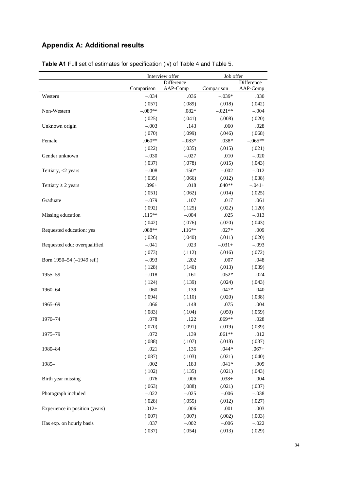# **Appendix A: Additional results**

|                                | Interview offer |            | Job offer  |            |
|--------------------------------|-----------------|------------|------------|------------|
|                                |                 | Difference |            | Difference |
|                                | Comparison      | AAP-Comp   | Comparison | AAP-Comp   |
| Western                        | $-.034$         | .036       | $-.039*$   | .030       |
|                                | (.057)          | (.089)     | (.018)     | (.042)     |
| Non-Western                    | $-.089**$       | $.082*$    | $-.021**$  | $-.004$    |
|                                | (.025)          | (.041)     | (.008)     | (.020)     |
| Unknown origin                 | $-.003$         | .143       | .060       | .028       |
|                                | (.070)          | (.099)     | (.046)     | (.068)     |
| Female                         | $.060**$        | $-.083*$   | $.038*$    | $-.065**$  |
|                                | (.022)          | (.035)     | (.015)     | (.021)     |
| Gender unknown                 | $-.030$         | $-.027$    | .010       | $-.020$    |
|                                | (.037)          | (.078)     | (.015)     | (.043)     |
| Tertiary, $<$ 2 years          | $-.008$         | $.150*$    | $-.002$    | $-.012$    |
|                                | (.035)          | (.066)     | (.012)     | (.038)     |
| Tertiary $\geq 2$ years        | $.096+$         | .018       | $.040**$   | $-.041+$   |
|                                | (.051)          | (.062)     | (.014)     | (.025)     |
| Graduate                       | $-.079$         | .107       | .017       | .061       |
|                                | (.092)          | (.125)     | (.022)     | (.120)     |
| Missing education              | $.115**$        | $-.004$    | .025       | $-.013$    |
|                                | (.042)          | (.076)     | (.020)     | (.043)     |
| Requested education: yes       | $.088**$        | $.116**$   | $.027*$    | .009       |
|                                | (.026)          | (.040)     | (.011)     | (.020)     |
| Requested edu: overqualified   | $-.041$         | .023       | $-.031+$   | $-.093$    |
|                                | (.073)          | (.112)     | (.016)     | (.072)     |
| Born 1950–54 (-1949 ref.)      | $-.093$         | .202       | .007       | .048       |
|                                | (.128)          | (.140)     | (.013)     | (.039)     |
| 1955–59                        | $-.018$         | .161       | $.052*$    | .024       |
|                                | (.124)          | (.139)     | (.024)     | (.043)     |
| 1960-64                        | .060            | .139       | $.047*$    | .040       |
|                                | (.094)          | (.110)     | (.020)     | (.038)     |
| 1965-69                        | .066            | .148       | .075       | .004       |
|                                | (.083)          | (.104)     | (.050)     | (.059)     |
| 1970-74                        | .078            | .122       | .069**     | .028       |
|                                | (.070)          | (.091)     | (.019)     | (.039)     |
| 1975-79                        | .072            | .139       | $.061**$   | .012       |
|                                | (.088)          | (.107)     | (.018)     | (.037)     |
| 1980-84                        | .021            | .136       | $.044*$    | $.067+$    |
|                                | (.087)          | (.103)     | (.021)     | (.040)     |
| $1985 -$                       | .002            | .183       | $.041*$    | .009       |
|                                | (.102)          | (.135)     | (.021)     | (.043)     |
| Birth year missing             | .076            | .006       | $.038+$    | .004       |
|                                | (.063)          | (.088)     | (.021)     | (.037)     |
| Photograph included            | $-.022$         | $-.025$    | $-.006$    | $-.038$    |
|                                | (.028)          | (.055)     | (.012)     | (.027)     |
| Experience in position (years) | $.012+$         | .006       | .001       | .003       |
|                                | (.007)          | (.007)     | (.002)     | (.003)     |
| Has exp. on hourly basis       | .037            | $-.002$    | $-.006$    | $-.022$    |
|                                | (.037)          | (.054)     | (.013)     | (.029)     |

Table A1 Full set of estimates for specification (iv) of Table 4 and Table 5.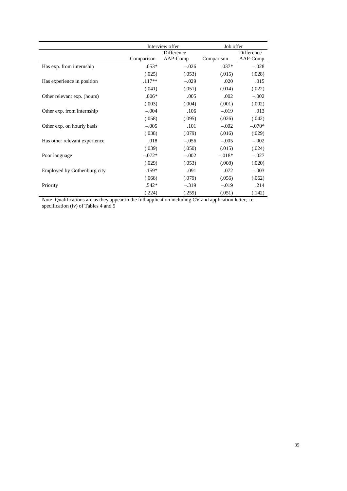|                               |            | Interview offer |            | Job offer  |  |
|-------------------------------|------------|-----------------|------------|------------|--|
|                               |            | Difference      |            | Difference |  |
|                               | Comparison | AAP-Comp        | Comparison | AAP-Comp   |  |
| Has exp. from internship      | $.053*$    | $-.026$         | $.037*$    | $-.028$    |  |
|                               | (.025)     | (.053)          | (.015)     | (.028)     |  |
| Has experience in position    | $.117**$   | $-.029$         | .020       | .015       |  |
|                               | (.041)     | (.051)          | (.014)     | (.022)     |  |
| Other relevant exp. (hours)   | $.006*$    | .005            | .002       | $-.002$    |  |
|                               | (.003)     | (.004)          | (.001)     | (.002)     |  |
| Other exp. from internship    | $-.004$    | .106            | $-.019$    | .013       |  |
|                               | (.058)     | (.095)          | (.026)     | (.042)     |  |
| Other exp. on hourly basis    | $-.005$    | .101            | $-.002$    | $-.070*$   |  |
|                               | (.038)     | (.079)          | (.016)     | (.029)     |  |
| Has other relevant experience | .018       | $-.056$         | $-.005$    | $-.002$    |  |
|                               | (.039)     | (.050)          | (.015)     | (.024)     |  |
| Poor language                 | $-.072*$   | $-.002$         | $-.018*$   | $-.027$    |  |
|                               | (.029)     | (.053)          | (.008)     | (.020)     |  |
| Employed by Gothenburg city   | $.159*$    | .091            | .072       | $-.003$    |  |
|                               | (.068)     | (.079)          | (.056)     | (.062)     |  |
| Priority                      | $.542*$    | $-.319$         | $-.019$    | .214       |  |
|                               | (.224)     | (.259)          | (.051)     | (.142)     |  |

Note: Qualifications are as they appear in the full application including CV and application letter; i.e. specification (iv) of Tables 4 and 5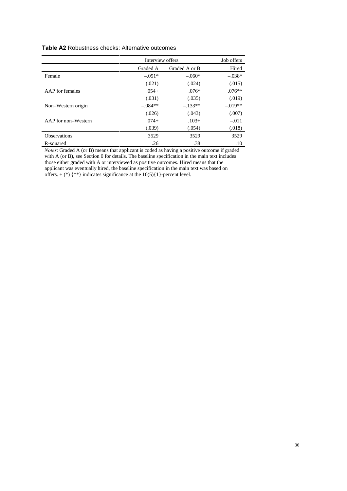#### Table A2 Robustness checks: Alternative outcomes

|                     | Interview offers | Job offers    |           |
|---------------------|------------------|---------------|-----------|
|                     | Graded A         | Graded A or B | Hired     |
| Female              | $-.051*$         | $-.060*$      | $-.038*$  |
|                     | (.021)           | (.024)        | (.015)    |
| AAP for females     | $.054+$          | $.076*$       | $.076**$  |
|                     | (.031)           | (.035)        | (.019)    |
| Non-Western origin  | $-.084**$        | $-.133**$     | $-.019**$ |
|                     | (.026)           | (.043)        | (.007)    |
| AAP for non–Western | $.074+$          | $.103+$       | $-.011$   |
|                     | (.039)           | (.054)        | (.018)    |
| <b>Observations</b> | 3529             | 3529          | 3529      |
| R-squared           | .26              | .38           | .10       |

*Notes*: Graded A (or B) means that applicant is coded as having a positive outcome if graded with A (or B), see Section 0 for details. The baseline specification in the main text includes those either graded with A or interviewed as positive outcomes. Hired means that the applicant was eventually hired, the baseline specification in the main text was based on offers.  $+$  (\*) {\*\*} indicates significance at the 10(5){1}-percent level.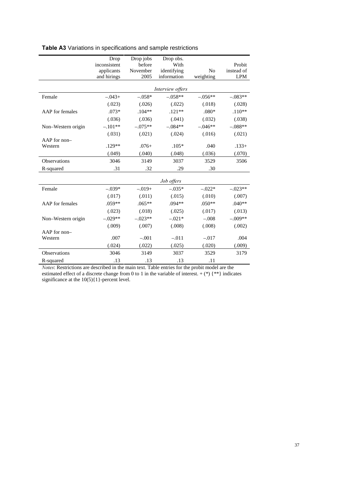|                    | Drop<br>inconsistent | Drop jobs<br>before | Drop obs.<br>With |                | Probit     |
|--------------------|----------------------|---------------------|-------------------|----------------|------------|
|                    | applicants           | November            | identifying       | N <sub>0</sub> | instead of |
|                    | and hirings          | 2005                | information       | weighting      | <b>LPM</b> |
|                    |                      |                     |                   |                |            |
|                    |                      |                     | Interview offers  |                |            |
| Female             | $-.043+$             | $-.058*$            | $-.058**$         | $-.056**$      | $-.083**$  |
|                    | (.023)               | (.026)              | (.022)            | (.018)         | (.028)     |
| AAP for females    | $.073*$              | $.104**$            | $.121**$          | $.080*$        | $.110**$   |
|                    | (.036)               | (.036)              | (.041)            | (.032)         | (.038)     |
| Non-Western origin | $-.101**$            | $-.075**$           | $-.084**$         | $-.046**$      | $-.088**$  |
|                    | (.031)               | (.021)              | (.024)            | (.016)         | (.021)     |
| AAP for non-       |                      |                     |                   |                |            |
| Western            | $.129**$             | $.076+$             | $.105*$           | .040           | $.133+$    |
|                    | (.049)               | (.040)              | (.048)            | (.036)         | (.070)     |
| Observations       | 3046                 | 3149                | 3037              | 3529           | 3506       |
| R-squared          | .31                  | .32                 | .29               | .30            |            |
|                    |                      |                     | Job offers        |                |            |
| Female             | $-.039*$             | $-.019+$            | $-.035*$          | $-.022*$       | $-.023**$  |
|                    | (.017)               | (.011)              | (.015)            | (.010)         | (.007)     |
| AAP for females    | $.059**$             | $.065**$            | $.094**$          | $.050**$       | $.040**$   |
|                    | (.023)               | (.018)              | (.025)            | (.017)         | (.013)     |
| Non-Western origin | $-.029**$            | $-.023**$           | $-.021*$          | $-.008$        | $-.009**$  |
|                    | (.009)               | (.007)              | (.008)            | (.008)         | (.002)     |
| $AAP$ for non-     |                      |                     |                   |                |            |
| Western            | .007                 | $-.001$             | $-.011$           | $-.017$        | .004       |
|                    | (.024)               | (.022)              | (.025)            | (.020)         | (.009)     |
| Observations       | 3046                 | 3149                | 3037              | 3529           | 3179       |
| R-squared          | .13                  | .13                 | .13               | .11            |            |

#### Table A3 Variations in specifications and sample restrictions

*Notes*: Restrictions are described in the main text. Table entries for the probit model are the estimated effect of a discrete change from 0 to 1 in the variable of interest.  $+$  (\*) {\*\*} indicates significance at the  $10(5){1}$ -percent level.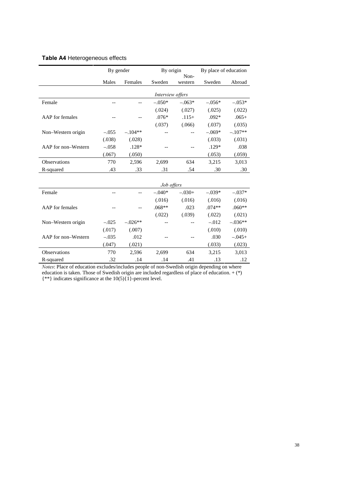|                     | By gender |           | By origin        | Non-     | By place of education |           |
|---------------------|-----------|-----------|------------------|----------|-----------------------|-----------|
|                     | Males     | Females   | Sweden           | western  | Sweden                | Abroad    |
|                     |           |           | Interview offers |          |                       |           |
| Female              |           |           | $-.050*$         | $-.063*$ | $-.056*$              | $-.053*$  |
|                     |           |           | (.024)           | (.027)   | (.025)                | (.022)    |
| AAP for females     |           |           | $.076*$          | $.115+$  | $.092*$               | $.065+$   |
|                     |           |           | (.037)           | (.066)   | (.037)                | (.035)    |
| Non-Western origin  | $-.055$   | $-.104**$ |                  |          | $-.069*$              | $-.107**$ |
|                     | (.038)    | (.028)    |                  |          | (.033)                | (.031)    |
| AAP for non-Western | $-.058$   | $.128*$   |                  |          | $.129*$               | .038      |
|                     | (.067)    | (.050)    |                  |          | (.053)                | (.059)    |
| Observations        | 770       | 2,596     | 2,699            | 634      | 3,215                 | 3,013     |
| R-squared           | .43       | .33       | .31              | .54      | .30                   | .30       |
|                     |           |           |                  |          |                       |           |
|                     |           |           | Job offers       |          |                       |           |
| Female              |           |           | $-.040*$         | $-.030+$ | $-.039*$              | $-.037*$  |
|                     |           |           | (.016)           | (.016)   | (.016)                | (.016)    |
| AAP for females     |           |           | $.068**$         | .023     | $.074**$              | $.060**$  |
|                     |           |           | (.022)           | (.039)   | (.022)                | (.021)    |
| Non-Western origin  | $-.025$   | $-.026**$ |                  |          | $-.012$               | $-.036**$ |
|                     | (.017)    | (.007)    |                  |          | (.010)                | (.010)    |
| AAP for non-Western | $-.035$   | .012      |                  |          | .030                  | $-.045+$  |
|                     | (.047)    | (.021)    |                  |          | (.033)                | (.023)    |
| Observations        | 770       | 2,596     | 2,699            | 634      | 3,215                 | 3,013     |
| R-squared           | .32       | .14       | .14              | .41      | .13                   | .12       |

#### Table A4 Heterogeneous effects

*Notes*: Place of education excludes/includes people of non-Swedish origin depending on where education is taken. Those of Swedish origin are included regardless of place of education.  $+$  (\*) {\*\*} indicates significance at the  $10(5){\overline{1}}$ }-percent level.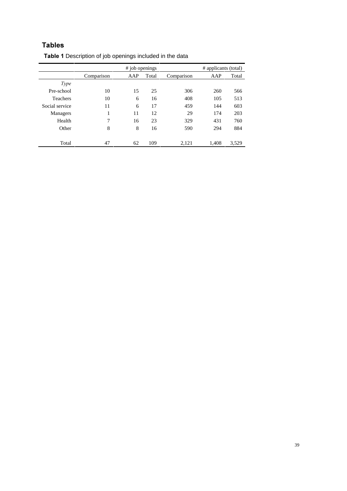## **Tables**

|                 | # job openings |     |       |            | # applicants (total) |       |
|-----------------|----------------|-----|-------|------------|----------------------|-------|
|                 | Comparison     | AAP | Total | Comparison | AAP                  | Total |
| Type            |                |     |       |            |                      |       |
| Pre-school      | 10             | 15  | 25    | 306        | 260                  | 566   |
| <b>Teachers</b> | 10             | 6   | 16    | 408        | 105                  | 513   |
| Social service  | 11             | 6   | 17    | 459        | 144                  | 603   |
| Managers        | 1              | 11  | 12    | 29         | 174                  | 203   |
| Health          | 7              | 16  | 23    | 329        | 431                  | 760   |
| Other           | 8              | 8   | 16    | 590        | 294                  | 884   |
|                 |                |     |       |            |                      |       |
| Total           | 47             | 62  | 109   | 2.121      | 1.408                | 3,529 |

### Table 1 Description of job openings included in the data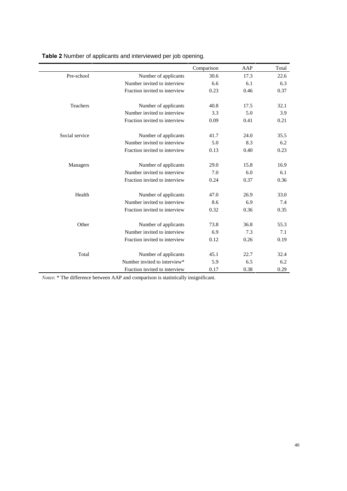|                |                               | Comparison | AAP  | Total |
|----------------|-------------------------------|------------|------|-------|
| Pre-school     | Number of applicants          | 30.6       | 17.3 | 22.6  |
|                | Number invited to interview   | 6.6        | 6.1  | 6.3   |
|                | Fraction invited to interview | 0.23       | 0.46 | 0.37  |
|                |                               |            |      |       |
| Teachers       | Number of applicants          | 40.8       | 17.5 | 32.1  |
|                | Number invited to interview   | 3.3        | 5.0  | 3.9   |
|                | Fraction invited to interview | 0.09       | 0.41 | 0.21  |
| Social service | Number of applicants          | 41.7       | 24.0 | 35.5  |
|                | Number invited to interview   | 5.0        | 8.3  | 6.2   |
|                | Fraction invited to interview | 0.13       | 0.40 | 0.23  |
| Managers       | Number of applicants          | 29.0       | 15.8 | 16.9  |
|                | Number invited to interview   | 7.0        | 6.0  | 6.1   |
|                | Fraction invited to interview | 0.24       | 0.37 | 0.36  |
|                |                               |            |      |       |
| Health         | Number of applicants          | 47.0       | 26.9 | 33.0  |
|                | Number invited to interview   | 8.6        | 6.9  | 7.4   |
|                | Fraction invited to interview | 0.32       | 0.36 | 0.35  |
| Other          | Number of applicants          | 73.8       | 36.8 | 55.3  |
|                | Number invited to interview   | 6.9        | 7.3  | 7.1   |
|                | Fraction invited to interview | 0.12       | 0.26 | 0.19  |
|                |                               |            |      |       |
| Total          | Number of applicants          | 45.1       | 22.7 | 32.4  |
|                | Number invited to interview*  | 5.9        | 6.5  | 6.2   |
|                | Fraction invited to interview | 0.17       | 0.38 | 0.29  |

Table 2 Number of applicants and interviewed per job opening.

*Notes*: \* The difference between AAP and comparison is statistically insignificant.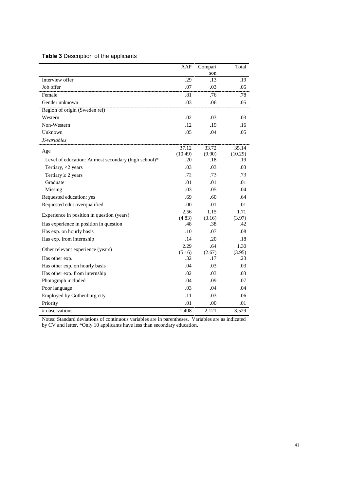#### Table 3 Description of the applicants

|                                                      | AAP           | Compari       | Total         |
|------------------------------------------------------|---------------|---------------|---------------|
|                                                      |               | son           |               |
| Interview offer                                      | .29           | .13           | .19           |
| Job offer                                            | .07           | .03           | .05           |
| Female                                               | .81           | .76           | .78           |
| Gender unknown                                       | .03           | .06           | .05           |
| Region of origin (Sweden ref)                        |               |               |               |
| Western                                              | .02           | .03           | .03           |
| Non-Western                                          | .12           | .19           | .16           |
| Unknown                                              | .05           | .04           | .05           |
| X-variables                                          |               |               |               |
| Age                                                  | 37.12         | 33.72         | 35.14         |
|                                                      | (10.49)       | (9.90)        | (10.29)       |
| Level of education: At most secondary (high school)* | .20           | .18           | .19           |
| Tertiary, $<$ 2 years                                | .03           | .03           | .03           |
| Tertiary $\geq 2$ years                              | .72           | .73           | .73           |
| Graduate                                             | .01           | .01           | .01           |
| Missing                                              | .03           | .05           | .04           |
| Requested education: yes                             | .69           | .60           | .64           |
| Requested edu: overqualified                         | .00           | .01           | .01           |
| Experience in position in question (years)           | 2.56          | 1.15          | 1.71          |
|                                                      | (4.83)        | (3.16)        | (3.97)        |
| Has experience in position in question               | .48           | .38           | .42           |
| Has exp. on hourly basis                             | .10           | .07           | .08           |
| Has exp. from internship                             | .14           | .20           | .18           |
| Other relevant experience (years)                    | 2.29          | .64           | 1.30          |
|                                                      | (5.16)<br>.32 | (2.67)<br>.17 | (3.95)<br>.23 |
| Has other exp.                                       |               |               |               |
| Has other exp. on hourly basis                       | .04           | .03           | .03           |
| Has other exp. from internship                       | .02           | .03           | .03           |
| Photograph included                                  | .04           | .09           | .07           |
| Poor language                                        | .03           | .04           | .04           |
| Employed by Gothenburg city                          | .11           | .03           | .06           |
| Priority                                             | .01           | .00           | .01           |
| # observations                                       | 1,408         | 2,121         | 3,529         |

Notes: Standard deviations of continuous variables are in parentheses. Variables are as indicated by CV and letter. \*Only 10 applicants have less than secondary education.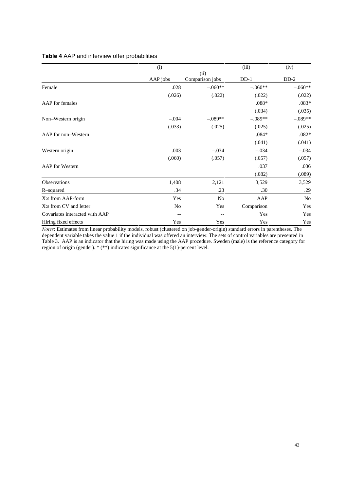#### Table 4 AAP and interview offer probabilities

|                                | (i)      |                 | (iii)      | (iv)           |
|--------------------------------|----------|-----------------|------------|----------------|
|                                |          | (ii)            |            |                |
|                                | AAP jobs | Comparison jobs | $DD-1$     | $DD-2$         |
| Female                         | .028     | $-.060**$       | $-.060**$  | $-.060**$      |
|                                | (.026)   | (.022)          | (.022)     | (.022)         |
| AAP for females                |          |                 | $.088*$    | $.083*$        |
|                                |          |                 | (.034)     | (.035)         |
| Non-Western origin             | $-.004$  | $-.089**$       | $-.089**$  | $-.089**$      |
|                                | (.033)   | (.025)          | (.025)     | (.025)         |
| AAP for non-Western            |          |                 | $.084*$    | $.082*$        |
|                                |          |                 | (.041)     | (.041)         |
| Western origin                 | .003     | $-.034$         | $-.034$    | $-.034$        |
|                                | (.060)   | (.057)          | (.057)     | (.057)         |
| <b>AAP</b> for Western         |          |                 | .037       | .036           |
|                                |          |                 | (.082)     | (.089)         |
| <b>Observations</b>            | 1,408    | 2,121           | 3,529      | 3,529          |
| R-squared                      | .34      | .23             | .30        | .29            |
| X:s from AAP-form              | Yes      | N <sub>o</sub>  | AAP        | N <sub>o</sub> |
| X:s from CV and letter         | No       | Yes             | Comparison | Yes            |
| Covariates interacted with AAP | --       | --              | Yes        | Yes            |
| Hiring fixed effects           | Yes      | Yes             | Yes        | Yes            |

*Notes*: Estimates from linear probability models, robust (clustered on job-gender-origin) standard errors in parentheses. The dependent variable takes the value 1 if the individual was offered an interview. The sets of control variables are presented in Table 3. AAP is an indicator that the hiring was made using the AAP procedure. Sweden (male) is the reference category for region of origin (gender). \* (\*\*) indicates significance at the 5(1)-percent level.